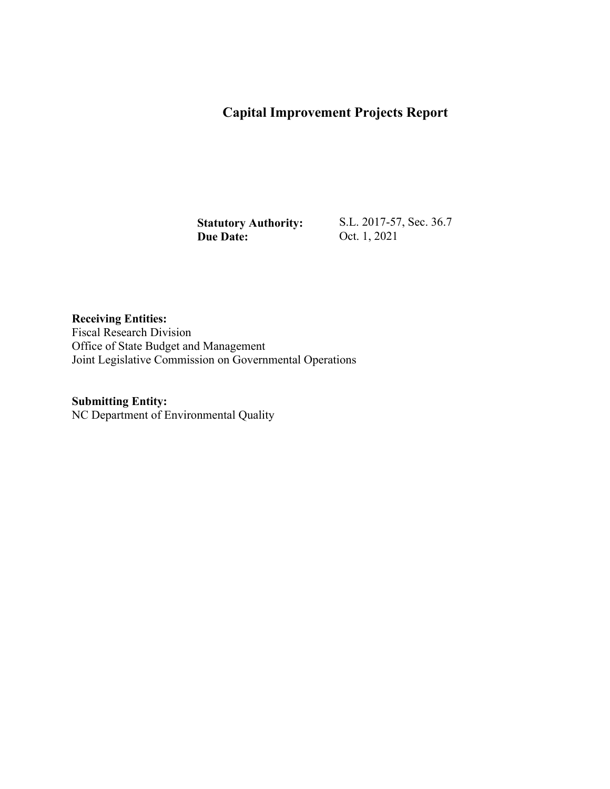## **Capital Improvement Projects Report**

**Statutory Authority: Due Date:** 

S.L. 2017-57, Sec. 36.7 Oct. 1, 2021

**Receiving Entities:**  Fiscal Research Division Office of State Budget and Management Joint Legislative Commission on Governmental Operations

## **Submitting Entity:**

NC Department of Environmental Quality